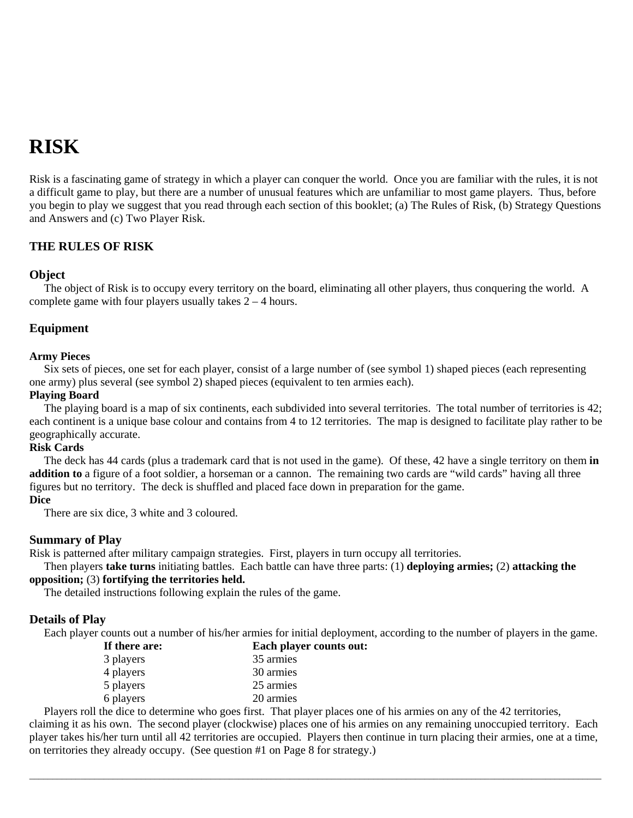# **RISK**

Risk is a fascinating game of strategy in which a player can conquer the world. Once you are familiar with the rules, it is not a difficult game to play, but there are a number of unusual features which are unfamiliar to most game players. Thus, before you begin to play we suggest that you read through each section of this booklet; (a) The Rules of Risk, (b) Strategy Questions and Answers and (c) Two Player Risk.

# **THE RULES OF RISK**

# **Object**

The object of Risk is to occupy every territory on the board, eliminating all other players, thus conquering the world. A complete game with four players usually takes  $2 - 4$  hours.

# **Equipment**

# **Army Pieces**

Six sets of pieces, one set for each player, consist of a large number of (see symbol 1) shaped pieces (each representing one army) plus several (see symbol 2) shaped pieces (equivalent to ten armies each).

# **Playing Board**

The playing board is a map of six continents, each subdivided into several territories. The total number of territories is 42; each continent is a unique base colour and contains from 4 to 12 territories. The map is designed to facilitate play rather to be geographically accurate.

# **Risk Cards**

The deck has 44 cards (plus a trademark card that is not used in the game). Of these, 42 have a single territory on them **in addition to** a figure of a foot soldier, a horseman or a cannon. The remaining two cards are "wild cards" having all three figures but no territory. The deck is shuffled and placed face down in preparation for the game.

# **Dice**

There are six dice, 3 white and 3 coloured.

# **Summary of Play**

Risk is patterned after military campaign strategies. First, players in turn occupy all territories.

Then players **take turns** initiating battles. Each battle can have three parts: (1) **deploying armies;** (2) **attacking the opposition;** (3) **fortifying the territories held.** 

The detailed instructions following explain the rules of the game.

# **Details of Play**

Each player counts out a number of his/her armies for initial deployment, according to the number of players in the game. **I I I E E E c C C C C** 

| <b>Each player co</b> |
|-----------------------|
| 35 armies             |
| 30 armies             |
| 25 armies             |
| 20 armies             |
|                       |

Players roll the dice to determine who goes first. That player places one of his armies on any of the 42 territories, claiming it as his own. The second player (clockwise) places one of his armies on any remaining unoccupied territory. Each

player takes his/her turn until all 42 territories are occupied. Players then continue in turn placing their armies, one at a time, on territories they already occupy. (See question #1 on Page 8 for strategy.)

 $\bot$  , and the set of the set of the set of the set of the set of the set of the set of the set of the set of the set of the set of the set of the set of the set of the set of the set of the set of the set of the set of t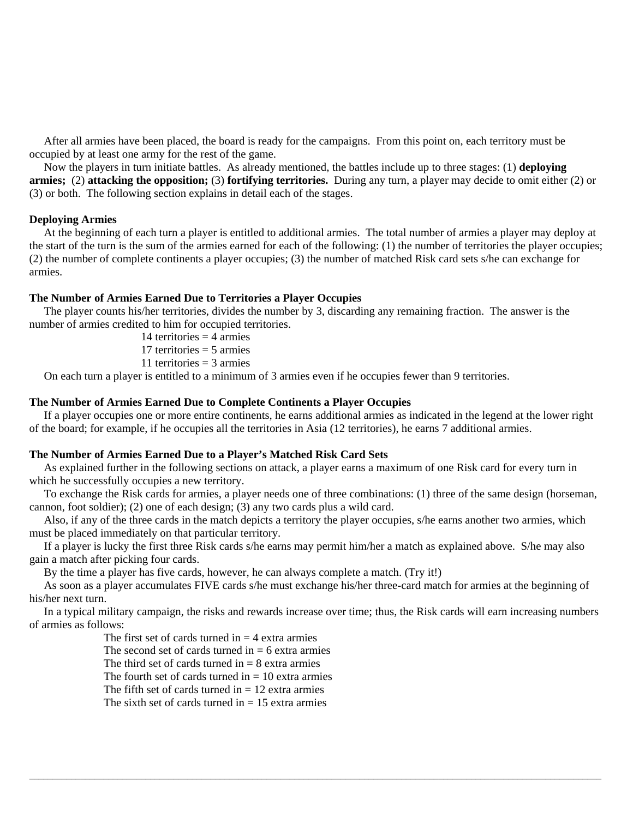After all armies have been placed, the board is ready for the campaigns. From this point on, each territory must be occupied by at least one army for the rest of the game.

Now the players in turn initiate battles. As already mentioned, the battles include up to three stages: (1) **deploying armies;** (2) **attacking the opposition;** (3) **fortifying territories.** During any turn, a player may decide to omit either (2) or (3) or both. The following section explains in detail each of the stages.

#### **Deploying Armies**

At the beginning of each turn a player is entitled to additional armies. The total number of armies a player may deploy at the start of the turn is the sum of the armies earned for each of the following: (1) the number of territories the player occupies; (2) the number of complete continents a player occupies; (3) the number of matched Risk card sets s/he can exchange for armies.

#### **The Number of Armies Earned Due to Territories a Player Occupies**

The player counts his/her territories, divides the number by 3, discarding any remaining fraction. The answer is the number of armies credited to him for occupied territories.

14 territories  $=$  4 armies

17 territories  $=$  5 armies

11 territories = 3 armies

On each turn a player is entitled to a minimum of 3 armies even if he occupies fewer than 9 territories.

#### **The Number of Armies Earned Due to Complete Continents a Player Occupies**

If a player occupies one or more entire continents, he earns additional armies as indicated in the legend at the lower right of the board; for example, if he occupies all the territories in Asia (12 territories), he earns 7 additional armies.

#### **The Number of Armies Earned Due to a Player's Matched Risk Card Sets**

As explained further in the following sections on attack, a player earns a maximum of one Risk card for every turn in which he successfully occupies a new territory.

To exchange the Risk cards for armies, a player needs one of three combinations: (1) three of the same design (horseman, cannon, foot soldier); (2) one of each design; (3) any two cards plus a wild card.

Also, if any of the three cards in the match depicts a territory the player occupies, s/he earns another two armies, which must be placed immediately on that particular territory.

If a player is lucky the first three Risk cards s/he earns may permit him/her a match as explained above. S/he may also gain a match after picking four cards.

By the time a player has five cards, however, he can always complete a match. (Try it!)

As soon as a player accumulates FIVE cards s/he must exchange his/her three-card match for armies at the beginning of his/her next turn.

In a typical military campaign, the risks and rewards increase over time; thus, the Risk cards will earn increasing numbers of armies as follows:

 $\bot$  , and the set of the set of the set of the set of the set of the set of the set of the set of the set of the set of the set of the set of the set of the set of the set of the set of the set of the set of the set of t

The first set of cards turned in  $=$  4 extra armies

The second set of cards turned in  $= 6$  extra armies

The third set of cards turned in  $= 8$  extra armies

The fourth set of cards turned in  $= 10$  extra armies

The fifth set of cards turned in  $= 12$  extra armies

The sixth set of cards turned in  $= 15$  extra armies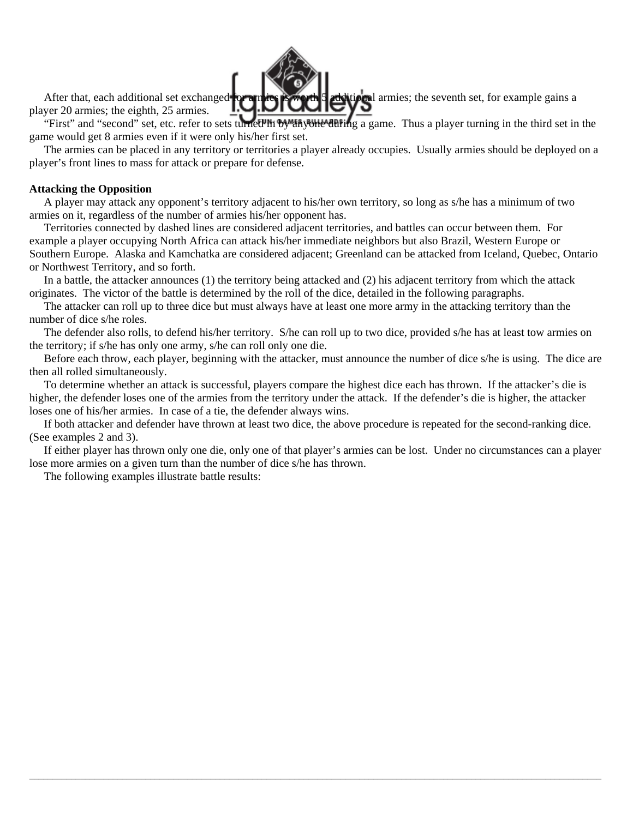

player 20 armies; the eighth, 25 armies.

"First" and "second" set, etc. refer to sets turned in by anyone during a game. Thus a player turning in the third set in the game would get 8 armies even if it were only his/her first set.

The armies can be placed in any territory or territories a player already occupies. Usually armies should be deployed on a player's front lines to mass for attack or prepare for defense.

#### **Attacking the Opposition**

A player may attack any opponent's territory adjacent to his/her own territory, so long as s/he has a minimum of two armies on it, regardless of the number of armies his/her opponent has.

Territories connected by dashed lines are considered adjacent territories, and battles can occur between them. For example a player occupying North Africa can attack his/her immediate neighbors but also Brazil, Western Europe or Southern Europe. Alaska and Kamchatka are considered adjacent; Greenland can be attacked from Iceland, Quebec, Ontario or Northwest Territory, and so forth.

In a battle, the attacker announces (1) the territory being attacked and (2) his adjacent territory from which the attack originates. The victor of the battle is determined by the roll of the dice, detailed in the following paragraphs.

The attacker can roll up to three dice but must always have at least one more army in the attacking territory than the number of dice s/he roles.

The defender also rolls, to defend his/her territory. S/he can roll up to two dice, provided s/he has at least tow armies on the territory; if s/he has only one army, s/he can roll only one die.

Before each throw, each player, beginning with the attacker, must announce the number of dice s/he is using. The dice are then all rolled simultaneously.

To determine whether an attack is successful, players compare the highest dice each has thrown. If the attacker's die is higher, the defender loses one of the armies from the territory under the attack. If the defender's die is higher, the attacker loses one of his/her armies. In case of a tie, the defender always wins.

If both attacker and defender have thrown at least two dice, the above procedure is repeated for the second-ranking dice. (See examples 2 and 3).

If either player has thrown only one die, only one of that player's armies can be lost. Under no circumstances can a player lose more armies on a given turn than the number of dice s/he has thrown.

 $\bot$  , and the set of the set of the set of the set of the set of the set of the set of the set of the set of the set of the set of the set of the set of the set of the set of the set of the set of the set of the set of t

The following examples illustrate battle results: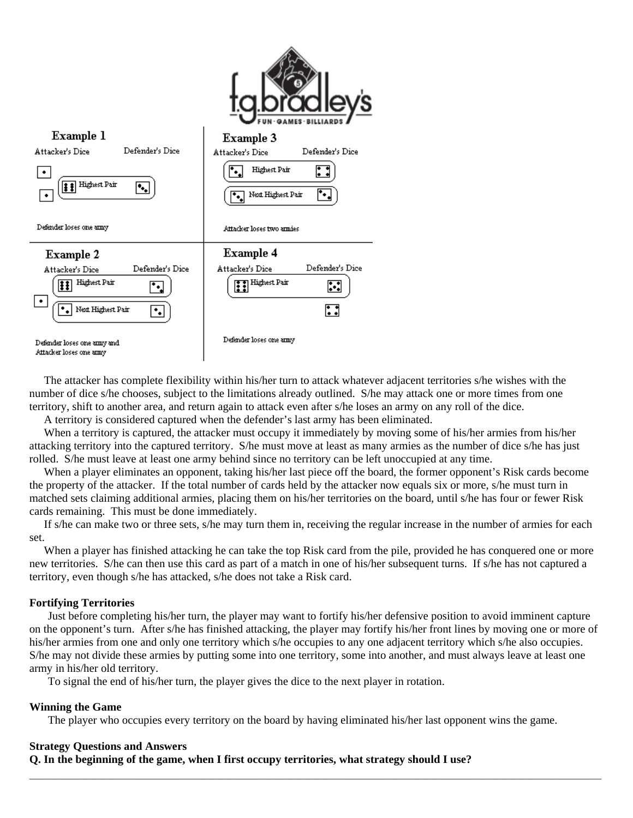

The attacker has complete flexibility within his/her turn to attack whatever adjacent territories s/he wishes with the number of dice s/he chooses, subject to the limitations already outlined. S/he may attack one or more times from one territory, shift to another area, and return again to attack even after s/he loses an army on any roll of the dice.

A territory is considered captured when the defender's last army has been eliminated.

When a territory is captured, the attacker must occupy it immediately by moving some of his/her armies from his/her attacking territory into the captured territory. S/he must move at least as many armies as the number of dice s/he has just rolled. S/he must leave at least one army behind since no territory can be left unoccupied at any time.

When a player eliminates an opponent, taking his/her last piece off the board, the former opponent's Risk cards become the property of the attacker. If the total number of cards held by the attacker now equals six or more, s/he must turn in matched sets claiming additional armies, placing them on his/her territories on the board, until s/he has four or fewer Risk cards remaining. This must be done immediately.

If s/he can make two or three sets, s/he may turn them in, receiving the regular increase in the number of armies for each set.

When a player has finished attacking he can take the top Risk card from the pile, provided he has conquered one or more new territories. S/he can then use this card as part of a match in one of his/her subsequent turns. If s/he has not captured a territory, even though s/he has attacked, s/he does not take a Risk card.

### **Fortifying Territories**

Just before completing his/her turn, the player may want to fortify his/her defensive position to avoid imminent capture on the opponent's turn. After s/he has finished attacking, the player may fortify his/her front lines by moving one or more of his/her armies from one and only one territory which s/he occupies to any one adjacent territory which s/he also occupies. S/he may not divide these armies by putting some into one territory, some into another, and must always leave at least one army in his/her old territory.

To signal the end of his/her turn, the player gives the dice to the next player in rotation.

### **Winning the Game**

The player who occupies every territory on the board by having eliminated his/her last opponent wins the game.

 $\bot$  , and the set of the set of the set of the set of the set of the set of the set of the set of the set of the set of the set of the set of the set of the set of the set of the set of the set of the set of the set of t

#### **Strategy Questions and Answers**

**Q. In the beginning of the game, when I first occupy territories, what strategy should I use?**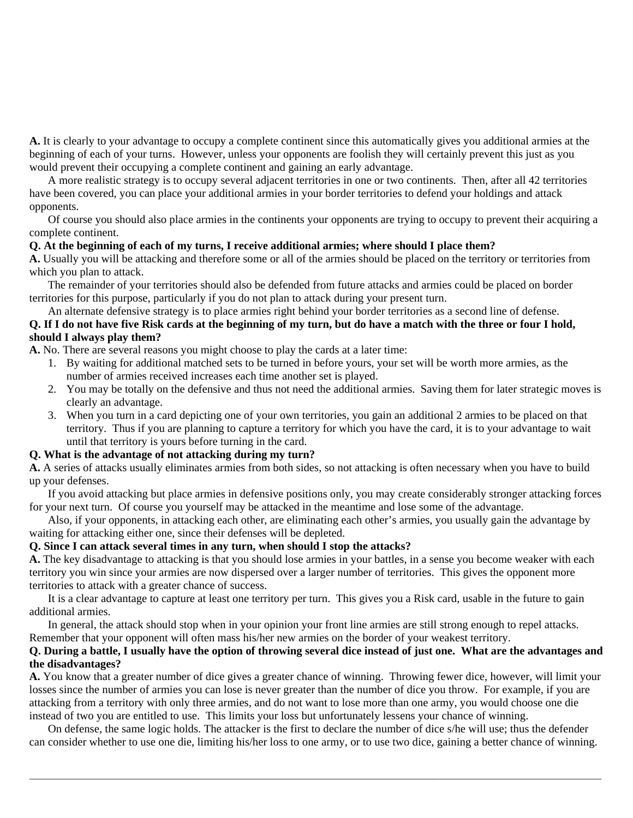**A.** It is clearly to your advantage to occupy a complete continent since this automatically gives you additional armies at the beginning of each of your turns. However, unless your opponents are foolish they will certainly prevent this just as you would prevent their occupying a complete continent and gaining an early advantage.

A more realistic strategy is to occupy several adjacent territories in one or two continents. Then, after all 42 territories have been covered, you can place your additional armies in your border territories to defend your holdings and attack opponents.

Of course you should also place armies in the continents your opponents are trying to occupy to prevent their acquiring a complete continent.

# **Q. At the beginning of each of my turns, I receive additional armies; where should I place them?**

**A.** Usually you will be attacking and therefore some or all of the armies should be placed on the territory or territories from which you plan to attack.

The remainder of your territories should also be defended from future attacks and armies could be placed on border territories for this purpose, particularly if you do not plan to attack during your present turn.

An alternate defensive strategy is to place armies right behind your border territories as a second line of defense. **Q. If I do not have five Risk cards at the beginning of my turn, but do have a match with the three or four I hold, should I always play them?** 

**A.** No. There are several reasons you might choose to play the cards at a later time:

- 1. By waiting for additional matched sets to be turned in before yours, your set will be worth more armies, as the number of armies received increases each time another set is played.
- 2. You may be totally on the defensive and thus not need the additional armies. Saving them for later strategic moves is clearly an advantage.
- 3. When you turn in a card depicting one of your own territories, you gain an additional 2 armies to be placed on that territory. Thus if you are planning to capture a territory for which you have the card, it is to your advantage to wait until that territory is yours before turning in the card.

# **Q. What is the advantage of not attacking during my turn?**

**A.** A series of attacks usually eliminates armies from both sides, so not attacking is often necessary when you have to build up your defenses.

If you avoid attacking but place armies in defensive positions only, you may create considerably stronger attacking forces for your next turn. Of course you yourself may be attacked in the meantime and lose some of the advantage.

Also, if your opponents, in attacking each other, are eliminating each other's armies, you usually gain the advantage by waiting for attacking either one, since their defenses will be depleted.

# **Q. Since I can attack several times in any turn, when should I stop the attacks?**

**A.** The key disadvantage to attacking is that you should lose armies in your battles, in a sense you become weaker with each territory you win since your armies are now dispersed over a larger number of territories. This gives the opponent more territories to attack with a greater chance of success.

It is a clear advantage to capture at least one territory per turn. This gives you a Risk card, usable in the future to gain additional armies.

In general, the attack should stop when in your opinion your front line armies are still strong enough to repel attacks. Remember that your opponent will often mass his/her new armies on the border of your weakest territory.

# **Q. During a battle, I usually have the option of throwing several dice instead of just one. What are the advantages and the disadvantages?**

**A.** You know that a greater number of dice gives a greater chance of winning. Throwing fewer dice, however, will limit your losses since the number of armies you can lose is never greater than the number of dice you throw. For example, if you are attacking from a territory with only three armies, and do not want to lose more than one army, you would choose one die instead of two you are entitled to use. This limits your loss but unfortunately lessens your chance of winning.

On defense, the same logic holds. The attacker is the first to declare the number of dice s/he will use; thus the defender can consider whether to use one die, limiting his/her loss to one army, or to use two dice, gaining a better chance of winning.

 $\bot$  , and the set of the set of the set of the set of the set of the set of the set of the set of the set of the set of the set of the set of the set of the set of the set of the set of the set of the set of the set of t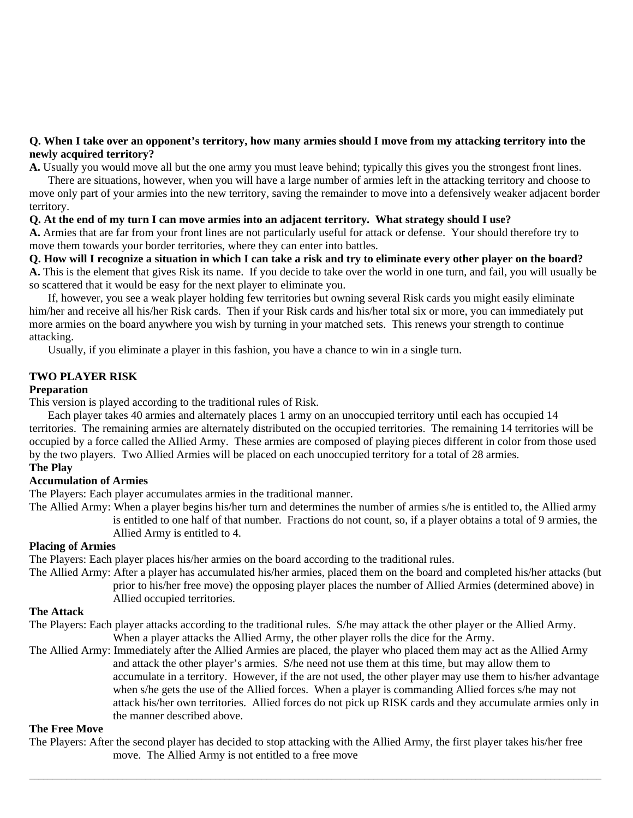# **Q. When I take over an opponent's territory, how many armies should I move from my attacking territory into the newly acquired territory?**

**A.** Usually you would move all but the one army you must leave behind; typically this gives you the strongest front lines.

There are situations, however, when you will have a large number of armies left in the attacking territory and choose to move only part of your armies into the new territory, saving the remainder to move into a defensively weaker adjacent border territory.

### **Q. At the end of my turn I can move armies into an adjacent territory. What strategy should I use?**

**A.** Armies that are far from your front lines are not particularly useful for attack or defense. Your should therefore try to move them towards your border territories, where they can enter into battles.

**Q. How will I recognize a situation in which I can take a risk and try to eliminate every other player on the board? A.** This is the element that gives Risk its name. If you decide to take over the world in one turn, and fail, you will usually be so scattered that it would be easy for the next player to eliminate you.

If, however, you see a weak player holding few territories but owning several Risk cards you might easily eliminate him/her and receive all his/her Risk cards. Then if your Risk cards and his/her total six or more, you can immediately put more armies on the board anywhere you wish by turning in your matched sets. This renews your strength to continue attacking.

Usually, if you eliminate a player in this fashion, you have a chance to win in a single turn.

### **TWO PLAYER RISK**

#### **Preparation**

This version is played according to the traditional rules of Risk.

Each player takes 40 armies and alternately places 1 army on an unoccupied territory until each has occupied 14 territories. The remaining armies are alternately distributed on the occupied territories. The remaining 14 territories will be occupied by a force called the Allied Army. These armies are composed of playing pieces different in color from those used by the two players. Two Allied Armies will be placed on each unoccupied territory for a total of 28 armies. **The Play** 

# **Accumulation of Armies**

The Players: Each player accumulates armies in the traditional manner.

The Allied Army: When a player begins his/her turn and determines the number of armies s/he is entitled to, the Allied army is entitled to one half of that number. Fractions do not count, so, if a player obtains a total of 9 armies, the Allied Army is entitled to 4.

### **Placing of Armies**

The Players: Each player places his/her armies on the board according to the traditional rules.

The Allied Army: After a player has accumulated his/her armies, placed them on the board and completed his/her attacks (but prior to his/her free move) the opposing player places the number of Allied Armies (determined above) in Allied occupied territories.

#### **The Attack**

The Players: Each player attacks according to the traditional rules. S/he may attack the other player or the Allied Army. When a player attacks the Allied Army, the other player rolls the dice for the Army.

The Allied Army: Immediately after the Allied Armies are placed, the player who placed them may act as the Allied Army and attack the other player's armies. S/he need not use them at this time, but may allow them to accumulate in a territory. However, if the are not used, the other player may use them to his/her advantage when s/he gets the use of the Allied forces. When a player is commanding Allied forces s/he may not attack his/her own territories. Allied forces do not pick up RISK cards and they accumulate armies only in the manner described above.

# **The Free Move**

The Players: After the second player has decided to stop attacking with the Allied Army, the first player takes his/her free move. The Allied Army is not entitled to a free move

 $\bot$  , and the set of the set of the set of the set of the set of the set of the set of the set of the set of the set of the set of the set of the set of the set of the set of the set of the set of the set of the set of t